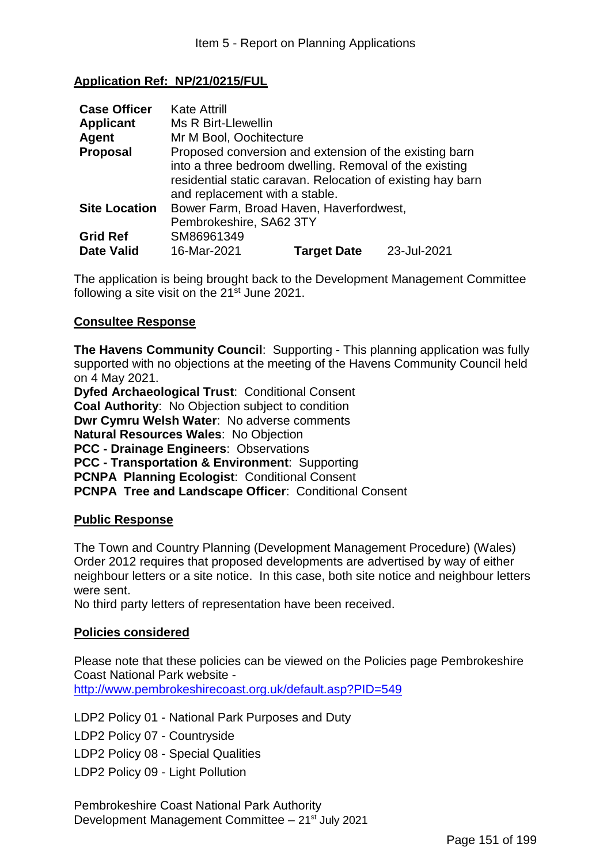# **Application Ref: NP/21/0215/FUL**

| <b>Case Officer</b>  | <b>Kate Attrill</b>                                                                                                                                                                                               |                    |             |
|----------------------|-------------------------------------------------------------------------------------------------------------------------------------------------------------------------------------------------------------------|--------------------|-------------|
| <b>Applicant</b>     | Ms R Birt-Llewellin                                                                                                                                                                                               |                    |             |
| <b>Agent</b>         | Mr M Bool, Oochitecture                                                                                                                                                                                           |                    |             |
| <b>Proposal</b>      | Proposed conversion and extension of the existing barn<br>into a three bedroom dwelling. Removal of the existing<br>residential static caravan. Relocation of existing hay barn<br>and replacement with a stable. |                    |             |
| <b>Site Location</b> | Bower Farm, Broad Haven, Haverfordwest,<br>Pembrokeshire, SA62 3TY                                                                                                                                                |                    |             |
| <b>Grid Ref</b>      | SM86961349                                                                                                                                                                                                        |                    |             |
| <b>Date Valid</b>    | 16-Mar-2021                                                                                                                                                                                                       | <b>Target Date</b> | 23-Jul-2021 |

The application is being brought back to the Development Management Committee following a site visit on the 21<sup>st</sup> June 2021.

### **Consultee Response**

**The Havens Community Council**: Supporting - This planning application was fully supported with no objections at the meeting of the Havens Community Council held on 4 May 2021.

**Dyfed Archaeological Trust**: Conditional Consent **Coal Authority**: No Objection subject to condition **Dwr Cymru Welsh Water**: No adverse comments **Natural Resources Wales**: No Objection **PCC - Drainage Engineers**: Observations **PCC - Transportation & Environment**: Supporting **PCNPA Planning Ecologist**: Conditional Consent **PCNPA Tree and Landscape Officer**: Conditional Consent

#### **Public Response**

The Town and Country Planning (Development Management Procedure) (Wales) Order 2012 requires that proposed developments are advertised by way of either neighbour letters or a site notice. In this case, both site notice and neighbour letters were sent.

No third party letters of representation have been received.

### **Policies considered**

Please note that these policies can be viewed on the Policies page Pembrokeshire Coast National Park website http://www.pembrokeshirecoast.org.uk/default.asp?PID=549

LDP2 Policy 01 - National Park Purposes and Duty

LDP2 Policy 07 - Countryside

LDP2 Policy 08 - Special Qualities

LDP2 Policy 09 - Light Pollution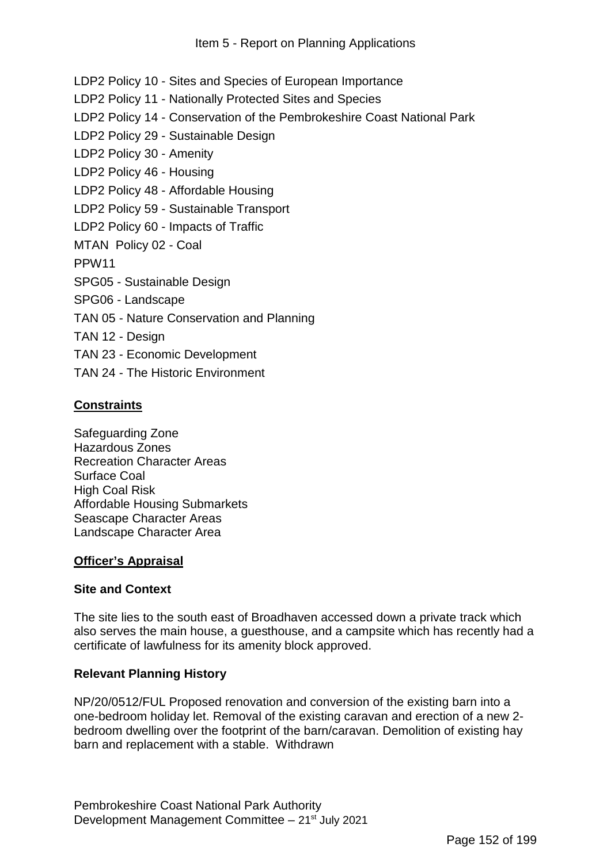- LDP2 Policy 10 Sites and Species of European Importance
- LDP2 Policy 11 Nationally Protected Sites and Species
- LDP2 Policy 14 Conservation of the Pembrokeshire Coast National Park
- LDP2 Policy 29 Sustainable Design
- LDP2 Policy 30 Amenity
- LDP2 Policy 46 Housing
- LDP2 Policy 48 Affordable Housing
- LDP2 Policy 59 Sustainable Transport
- LDP2 Policy 60 Impacts of Traffic
- MTAN Policy 02 Coal
- PPW11
- SPG05 Sustainable Design
- SPG06 Landscape
- TAN 05 Nature Conservation and Planning
- TAN 12 Design
- TAN 23 Economic Development
- TAN 24 The Historic Environment

# **Constraints**

Safeguarding Zone Hazardous Zones Recreation Character Areas Surface Coal High Coal Risk Affordable Housing Submarkets Seascape Character Areas Landscape Character Area

# **Officer's Appraisal**

### **Site and Context**

The site lies to the south east of Broadhaven accessed down a private track which also serves the main house, a guesthouse, and a campsite which has recently had a certificate of lawfulness for its amenity block approved.

# **Relevant Planning History**

NP/20/0512/FUL Proposed renovation and conversion of the existing barn into a one-bedroom holiday let. Removal of the existing caravan and erection of a new 2 bedroom dwelling over the footprint of the barn/caravan. Demolition of existing hay barn and replacement with a stable. Withdrawn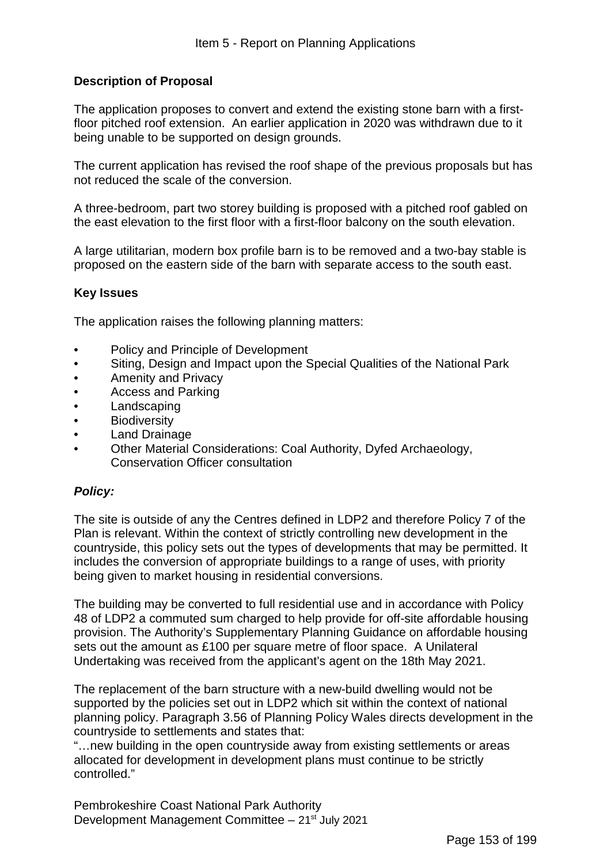## **Description of Proposal**

The application proposes to convert and extend the existing stone barn with a firstfloor pitched roof extension. An earlier application in 2020 was withdrawn due to it being unable to be supported on design grounds.

The current application has revised the roof shape of the previous proposals but has not reduced the scale of the conversion.

A three-bedroom, part two storey building is proposed with a pitched roof gabled on the east elevation to the first floor with a first-floor balcony on the south elevation.

A large utilitarian, modern box profile barn is to be removed and a two-bay stable is proposed on the eastern side of the barn with separate access to the south east.

## **Key Issues**

The application raises the following planning matters:

- Policy and Principle of Development
- Siting, Design and Impact upon the Special Qualities of the National Park<br>• Amenity and Privacy
- Amenity and Privacy
- Access and Parking
- **Landscaping**
- Biodiversity
- **Land Drainage**
- Other Material Considerations: Coal Authority, Dyfed Archaeology, Conservation Officer consultation

### *Policy:*

The site is outside of any the Centres defined in LDP2 and therefore Policy 7 of the Plan is relevant. Within the context of strictly controlling new development in the countryside, this policy sets out the types of developments that may be permitted. It includes the conversion of appropriate buildings to a range of uses, with priority being given to market housing in residential conversions.

The building may be converted to full residential use and in accordance with Policy 48 of LDP2 a commuted sum charged to help provide for off-site affordable housing provision. The Authority's Supplementary Planning Guidance on affordable housing sets out the amount as £100 per square metre of floor space. A Unilateral Undertaking was received from the applicant's agent on the 18th May 2021.

The replacement of the barn structure with a new-build dwelling would not be supported by the policies set out in LDP2 which sit within the context of national planning policy. Paragraph 3.56 of Planning Policy Wales directs development in the countryside to settlements and states that:

"…new building in the open countryside away from existing settlements or areas allocated for development in development plans must continue to be strictly controlled."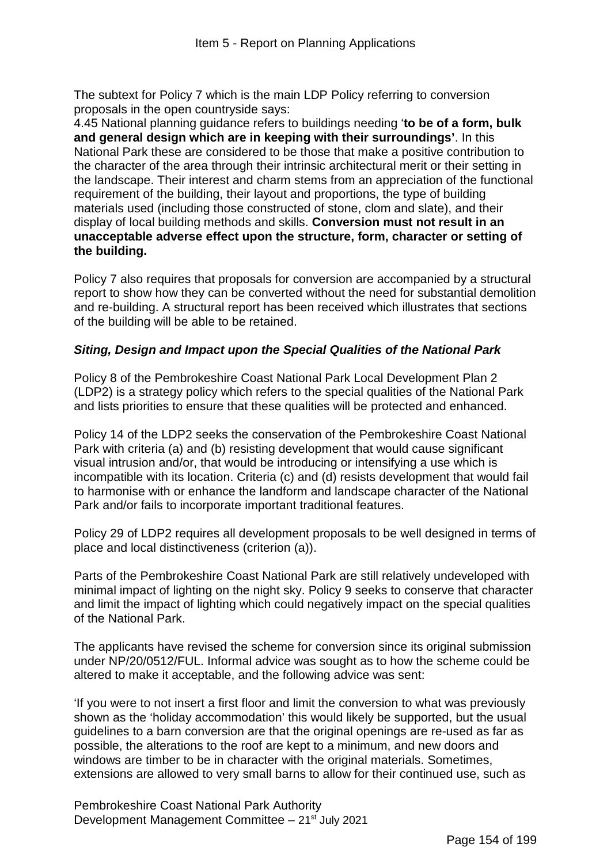The subtext for Policy 7 which is the main LDP Policy referring to conversion proposals in the open countryside says:

4.45 National planning guidance refers to buildings needing '**to be of a form, bulk and general design which are in keeping with their surroundings'**. In this National Park these are considered to be those that make a positive contribution to the character of the area through their intrinsic architectural merit or their setting in the landscape. Their interest and charm stems from an appreciation of the functional requirement of the building, their layout and proportions, the type of building materials used (including those constructed of stone, clom and slate), and their display of local building methods and skills. **Conversion must not result in an unacceptable adverse effect upon the structure, form, character or setting of the building.**

Policy 7 also requires that proposals for conversion are accompanied by a structural report to show how they can be converted without the need for substantial demolition and re-building. A structural report has been received which illustrates that sections of the building will be able to be retained.

### *Siting, Design and Impact upon the Special Qualities of the National Park*

Policy 8 of the Pembrokeshire Coast National Park Local Development Plan 2 (LDP2) is a strategy policy which refers to the special qualities of the National Park and lists priorities to ensure that these qualities will be protected and enhanced.

Policy 14 of the LDP2 seeks the conservation of the Pembrokeshire Coast National Park with criteria (a) and (b) resisting development that would cause significant visual intrusion and/or, that would be introducing or intensifying a use which is incompatible with its location. Criteria (c) and (d) resists development that would fail to harmonise with or enhance the landform and landscape character of the National Park and/or fails to incorporate important traditional features.

Policy 29 of LDP2 requires all development proposals to be well designed in terms of place and local distinctiveness (criterion (a)).

Parts of the Pembrokeshire Coast National Park are still relatively undeveloped with minimal impact of lighting on the night sky. Policy 9 seeks to conserve that character and limit the impact of lighting which could negatively impact on the special qualities of the National Park.

The applicants have revised the scheme for conversion since its original submission under NP/20/0512/FUL. Informal advice was sought as to how the scheme could be altered to make it acceptable, and the following advice was sent:

'If you were to not insert a first floor and limit the conversion to what was previously shown as the 'holiday accommodation' this would likely be supported, but the usual guidelines to a barn conversion are that the original openings are re-used as far as possible, the alterations to the roof are kept to a minimum, and new doors and windows are timber to be in character with the original materials. Sometimes, extensions are allowed to very small barns to allow for their continued use, such as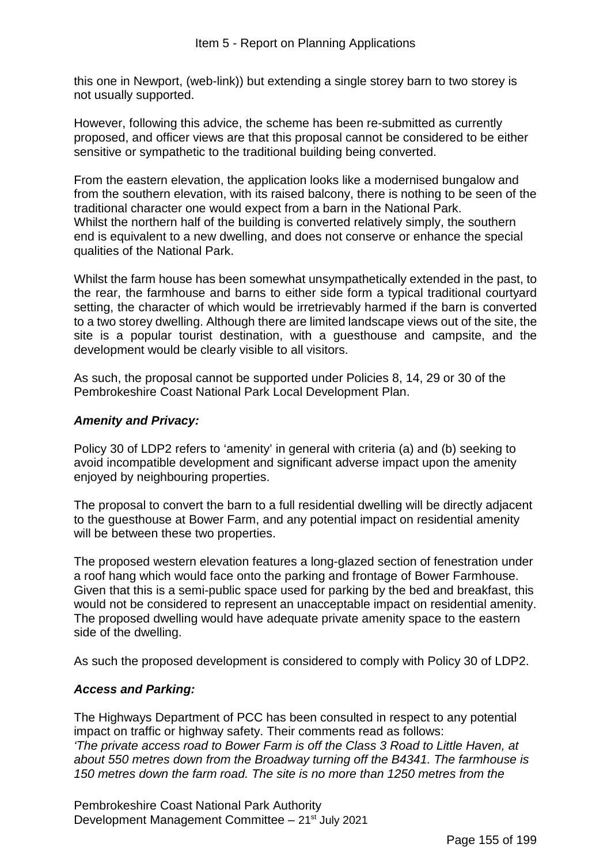this one in Newport, (web-link)) but extending a single storey barn to two storey is not usually supported.

However, following this advice, the scheme has been re-submitted as currently proposed, and officer views are that this proposal cannot be considered to be either sensitive or sympathetic to the traditional building being converted.

From the eastern elevation, the application looks like a modernised bungalow and from the southern elevation, with its raised balcony, there is nothing to be seen of the traditional character one would expect from a barn in the National Park. Whilst the northern half of the building is converted relatively simply, the southern end is equivalent to a new dwelling, and does not conserve or enhance the special qualities of the National Park.

Whilst the farm house has been somewhat unsympathetically extended in the past, to the rear, the farmhouse and barns to either side form a typical traditional courtyard setting, the character of which would be irretrievably harmed if the barn is converted to a two storey dwelling. Although there are limited landscape views out of the site, the site is a popular tourist destination, with a guesthouse and campsite, and the development would be clearly visible to all visitors.

As such, the proposal cannot be supported under Policies 8, 14, 29 or 30 of the Pembrokeshire Coast National Park Local Development Plan.

## *Amenity and Privacy:*

Policy 30 of LDP2 refers to 'amenity' in general with criteria (a) and (b) seeking to avoid incompatible development and significant adverse impact upon the amenity enjoyed by neighbouring properties.

The proposal to convert the barn to a full residential dwelling will be directly adjacent to the guesthouse at Bower Farm, and any potential impact on residential amenity will be between these two properties.

The proposed western elevation features a long-glazed section of fenestration under a roof hang which would face onto the parking and frontage of Bower Farmhouse. Given that this is a semi-public space used for parking by the bed and breakfast, this would not be considered to represent an unacceptable impact on residential amenity. The proposed dwelling would have adequate private amenity space to the eastern side of the dwelling.

As such the proposed development is considered to comply with Policy 30 of LDP2.

### *Access and Parking:*

The Highways Department of PCC has been consulted in respect to any potential impact on traffic or highway safety. Their comments read as follows: *'The private access road to Bower Farm is off the Class 3 Road to Little Haven, at about 550 metres down from the Broadway turning off the B4341. The farmhouse is 150 metres down the farm road. The site is no more than 1250 metres from the*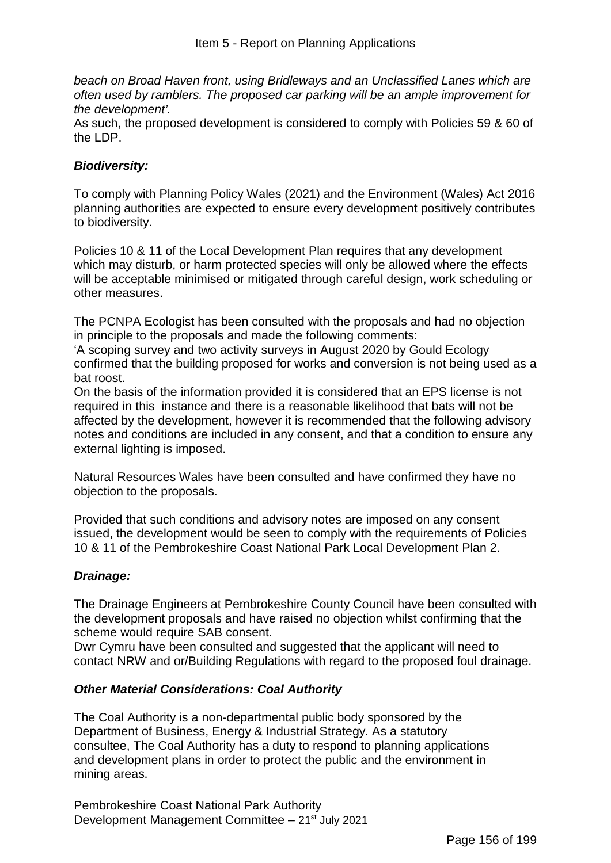*beach on Broad Haven front, using Bridleways and an Unclassified Lanes which are often used by ramblers. The proposed car parking will be an ample improvement for the development'.* 

As such, the proposed development is considered to comply with Policies 59 & 60 of the LDP.

## *Biodiversity:*

To comply with Planning Policy Wales (2021) and the Environment (Wales) Act 2016 planning authorities are expected to ensure every development positively contributes to biodiversity.

Policies 10 & 11 of the Local Development Plan requires that any development which may disturb, or harm protected species will only be allowed where the effects will be acceptable minimised or mitigated through careful design, work scheduling or other measures.

The PCNPA Ecologist has been consulted with the proposals and had no objection in principle to the proposals and made the following comments:

'A scoping survey and two activity surveys in August 2020 by Gould Ecology confirmed that the building proposed for works and conversion is not being used as a bat roost.

On the basis of the information provided it is considered that an EPS license is not required in this instance and there is a reasonable likelihood that bats will not be affected by the development, however it is recommended that the following advisory notes and conditions are included in any consent, and that a condition to ensure any external lighting is imposed.

Natural Resources Wales have been consulted and have confirmed they have no objection to the proposals.

Provided that such conditions and advisory notes are imposed on any consent issued, the development would be seen to comply with the requirements of Policies 10 & 11 of the Pembrokeshire Coast National Park Local Development Plan 2.

### *Drainage:*

The Drainage Engineers at Pembrokeshire County Council have been consulted with the development proposals and have raised no objection whilst confirming that the scheme would require SAB consent.

Dwr Cymru have been consulted and suggested that the applicant will need to contact NRW and or/Building Regulations with regard to the proposed foul drainage.

### *Other Material Considerations: Coal Authority*

The Coal Authority is a non-departmental public body sponsored by the Department of Business, Energy & Industrial Strategy. As a statutory consultee, The Coal Authority has a duty to respond to planning applications and development plans in order to protect the public and the environment in mining areas.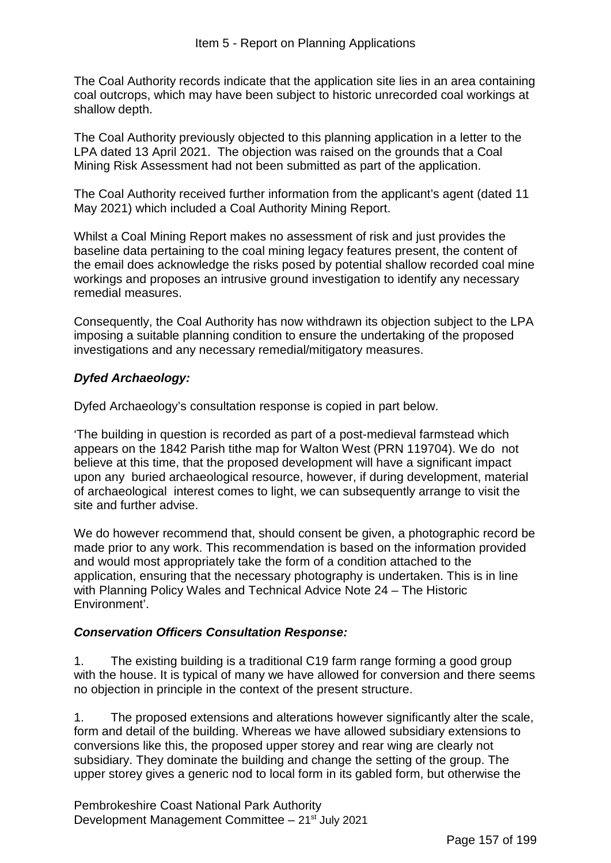The Coal Authority records indicate that the application site lies in an area containing coal outcrops, which may have been subject to historic unrecorded coal workings at shallow depth.

The Coal Authority previously objected to this planning application in a letter to the LPA dated 13 April 2021. The objection was raised on the grounds that a Coal Mining Risk Assessment had not been submitted as part of the application.

The Coal Authority received further information from the applicant's agent (dated 11 May 2021) which included a Coal Authority Mining Report.

Whilst a Coal Mining Report makes no assessment of risk and just provides the baseline data pertaining to the coal mining legacy features present, the content of the email does acknowledge the risks posed by potential shallow recorded coal mine workings and proposes an intrusive ground investigation to identify any necessary remedial measures.

Consequently, the Coal Authority has now withdrawn its objection subject to the LPA imposing a suitable planning condition to ensure the undertaking of the proposed investigations and any necessary remedial/mitigatory measures.

# *Dyfed Archaeology:*

Dyfed Archaeology's consultation response is copied in part below.

'The building in question is recorded as part of a post-medieval farmstead which appears on the 1842 Parish tithe map for Walton West (PRN 119704). We do not believe at this time, that the proposed development will have a significant impact upon any buried archaeological resource, however, if during development, material of archaeological interest comes to light, we can subsequently arrange to visit the site and further advise.

We do however recommend that, should consent be given, a photographic record be made prior to any work. This recommendation is based on the information provided and would most appropriately take the form of a condition attached to the application, ensuring that the necessary photography is undertaken. This is in line with Planning Policy Wales and Technical Advice Note 24 – The Historic Environment'.

### *Conservation Officers Consultation Response:*

1. The existing building is a traditional C19 farm range forming a good group with the house. It is typical of many we have allowed for conversion and there seems no objection in principle in the context of the present structure.

1. The proposed extensions and alterations however significantly alter the scale, form and detail of the building. Whereas we have allowed subsidiary extensions to conversions like this, the proposed upper storey and rear wing are clearly not subsidiary. They dominate the building and change the setting of the group. The upper storey gives a generic nod to local form in its gabled form, but otherwise the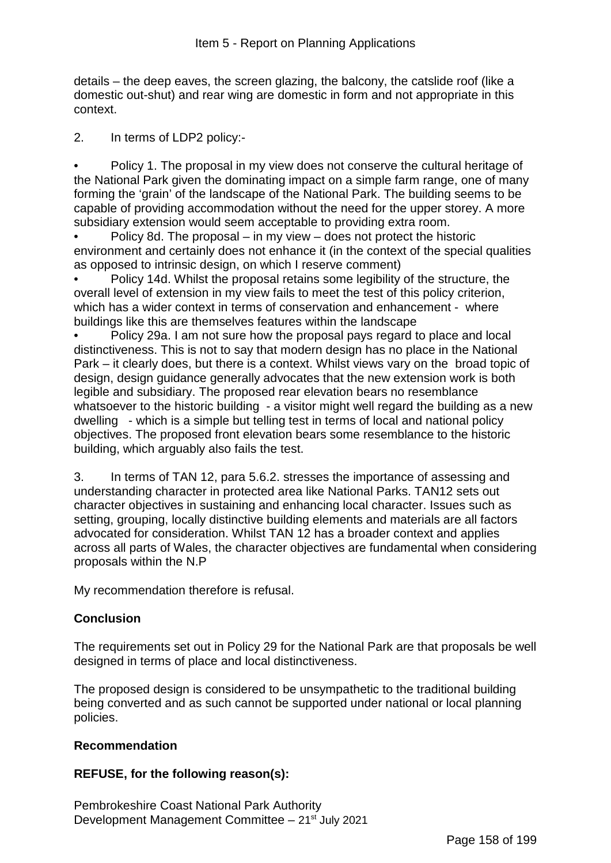details – the deep eaves, the screen glazing, the balcony, the catslide roof (like a domestic out-shut) and rear wing are domestic in form and not appropriate in this context.

2. In terms of LDP2 policy:-

• Policy 1. The proposal in my view does not conserve the cultural heritage of the National Park given the dominating impact on a simple farm range, one of many forming the 'grain' of the landscape of the National Park. The building seems to be capable of providing accommodation without the need for the upper storey. A more subsidiary extension would seem acceptable to providing extra room.

• Policy 8d. The proposal – in my view – does not protect the historic environment and certainly does not enhance it (in the context of the special qualities as opposed to intrinsic design, on which I reserve comment)

• Policy 14d. Whilst the proposal retains some legibility of the structure, the overall level of extension in my view fails to meet the test of this policy criterion, which has a wider context in terms of conservation and enhancement - where buildings like this are themselves features within the landscape

• Policy 29a. I am not sure how the proposal pays regard to place and local distinctiveness. This is not to say that modern design has no place in the National Park – it clearly does, but there is a context. Whilst views vary on the broad topic of design, design guidance generally advocates that the new extension work is both legible and subsidiary. The proposed rear elevation bears no resemblance whatsoever to the historic building - a visitor might well regard the building as a new dwelling - which is a simple but telling test in terms of local and national policy objectives. The proposed front elevation bears some resemblance to the historic building, which arguably also fails the test.

3. In terms of TAN 12, para 5.6.2. stresses the importance of assessing and understanding character in protected area like National Parks. TAN12 sets out character objectives in sustaining and enhancing local character. Issues such as setting, grouping, locally distinctive building elements and materials are all factors advocated for consideration. Whilst TAN 12 has a broader context and applies across all parts of Wales, the character objectives are fundamental when considering proposals within the N.P

My recommendation therefore is refusal.

# **Conclusion**

The requirements set out in Policy 29 for the National Park are that proposals be well designed in terms of place and local distinctiveness.

The proposed design is considered to be unsympathetic to the traditional building being converted and as such cannot be supported under national or local planning policies.

# **Recommendation**

# **REFUSE, for the following reason(s):**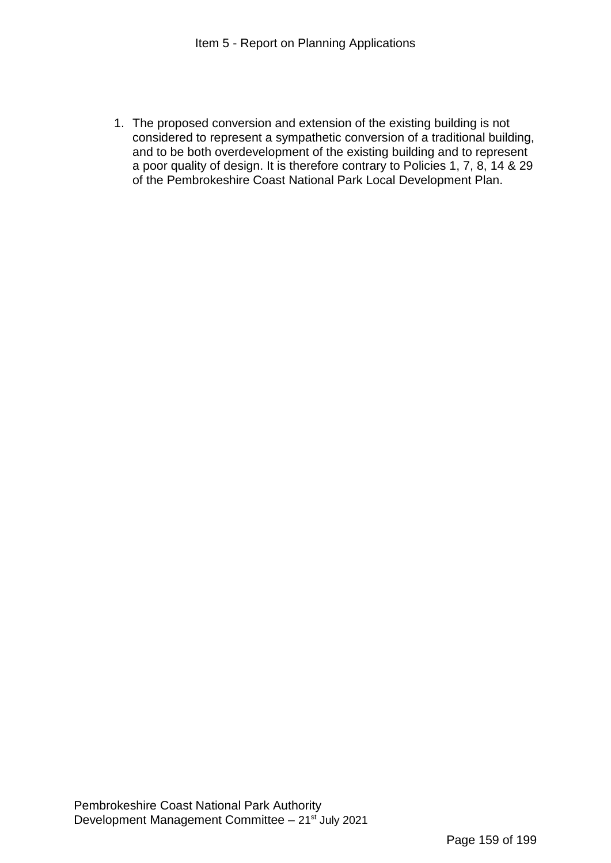1. The proposed conversion and extension of the existing building is not considered to represent a sympathetic conversion of a traditional building, and to be both overdevelopment of the existing building and to represent a poor quality of design. It is therefore contrary to Policies 1, 7, 8, 14 & 29 of the Pembrokeshire Coast National Park Local Development Plan.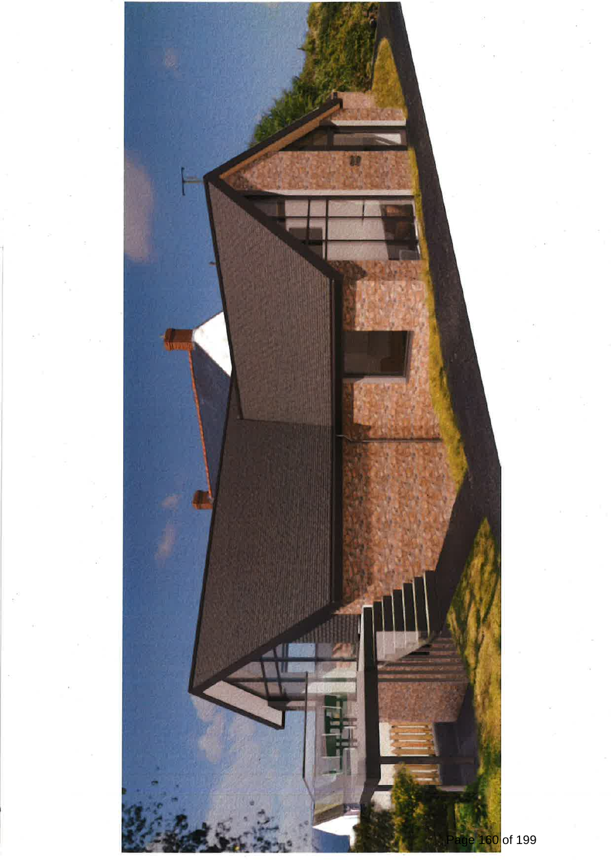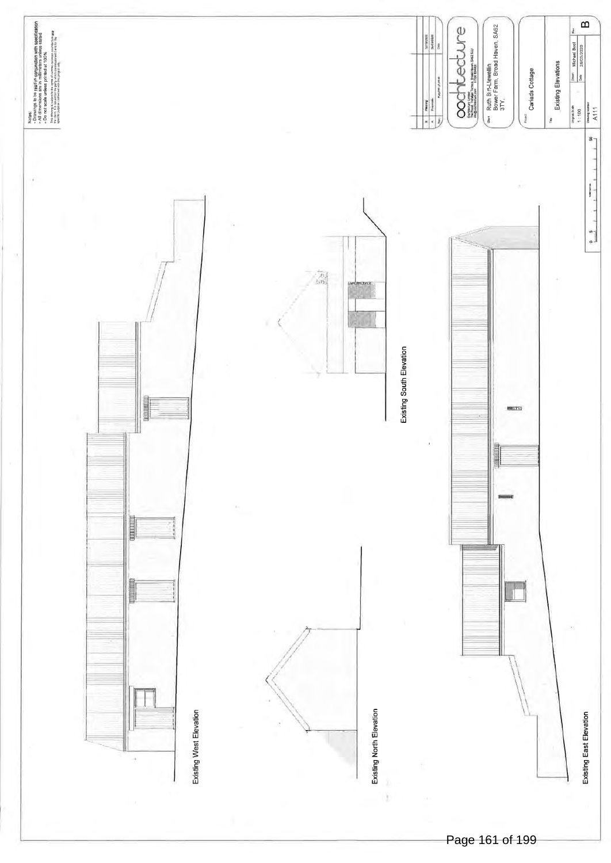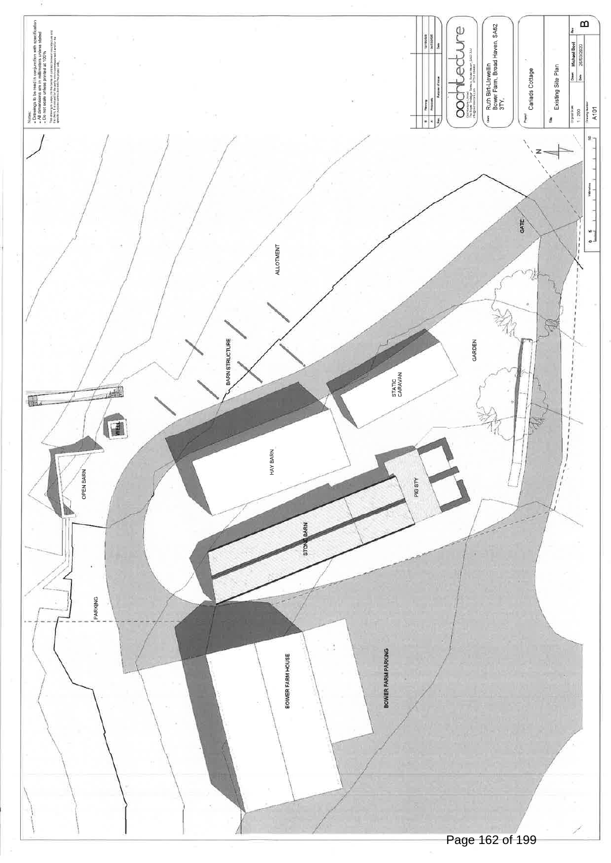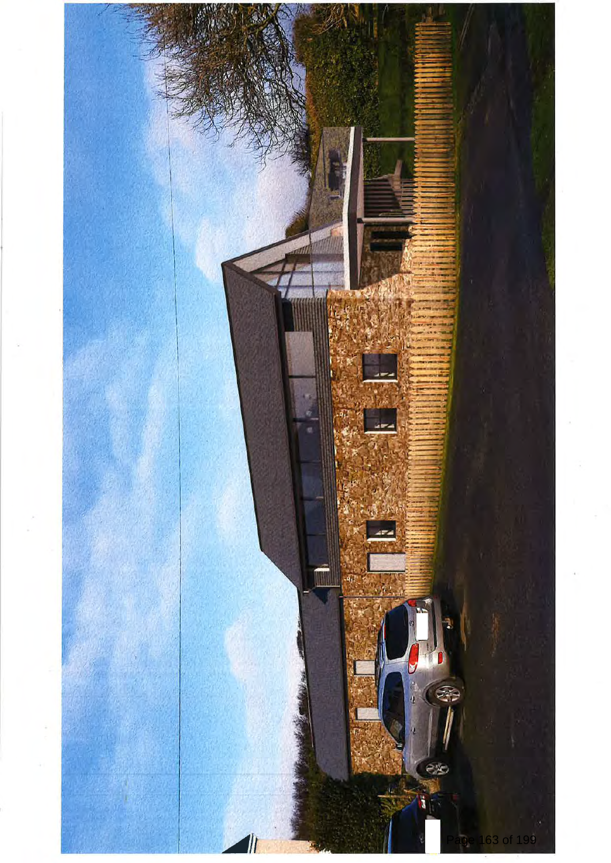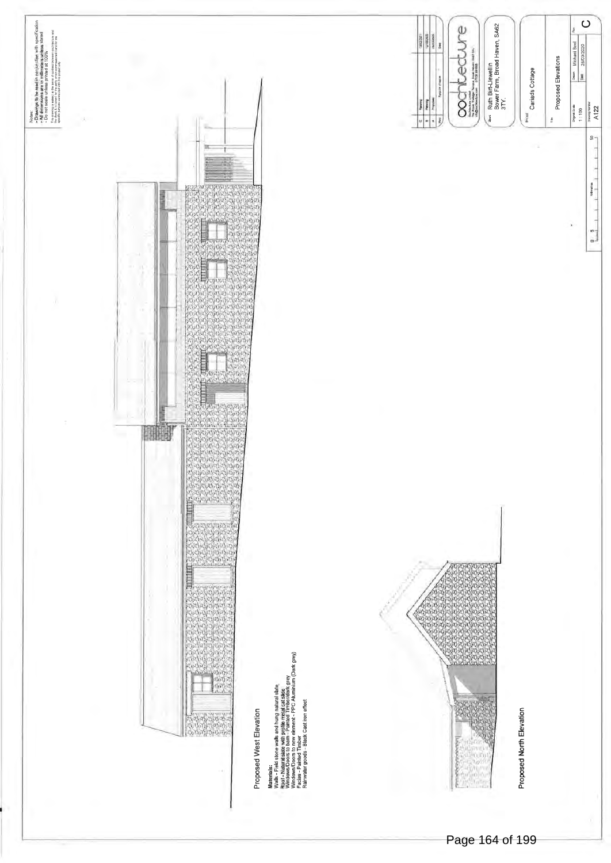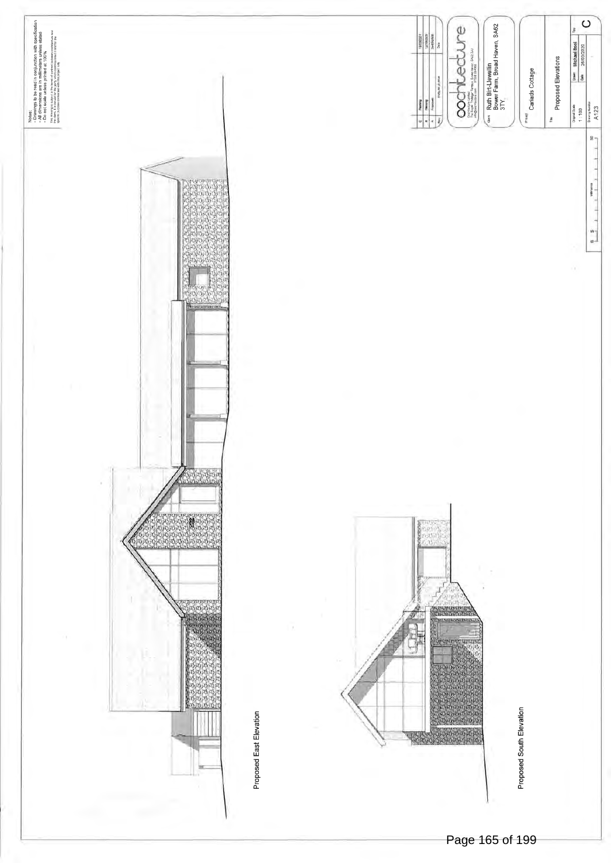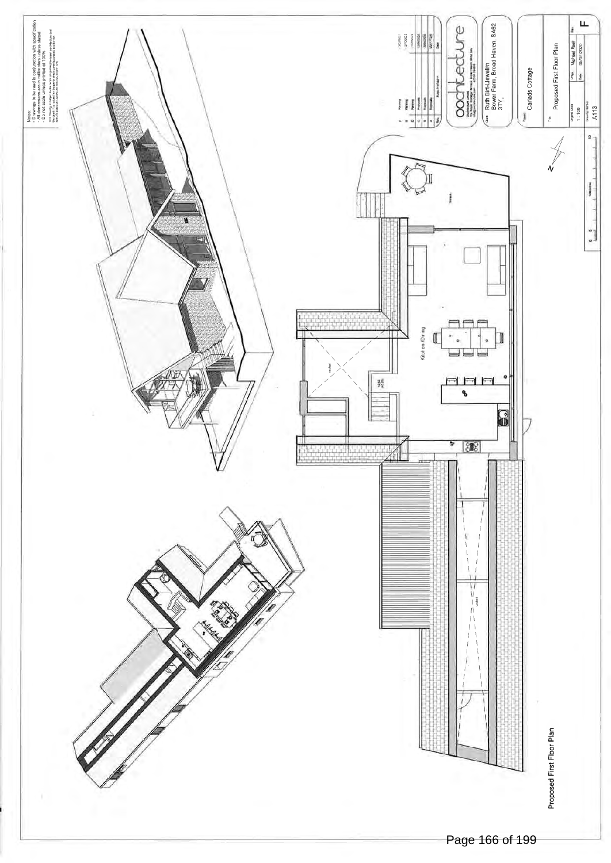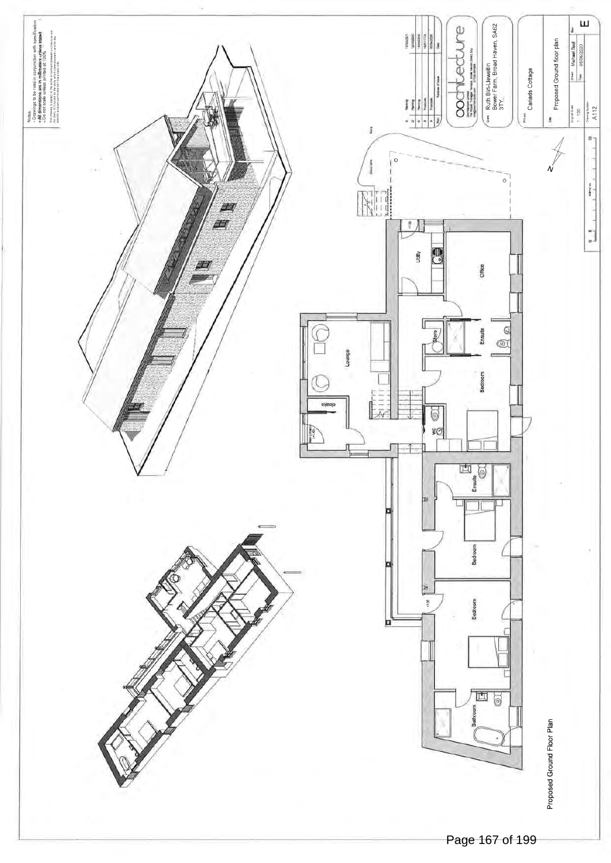